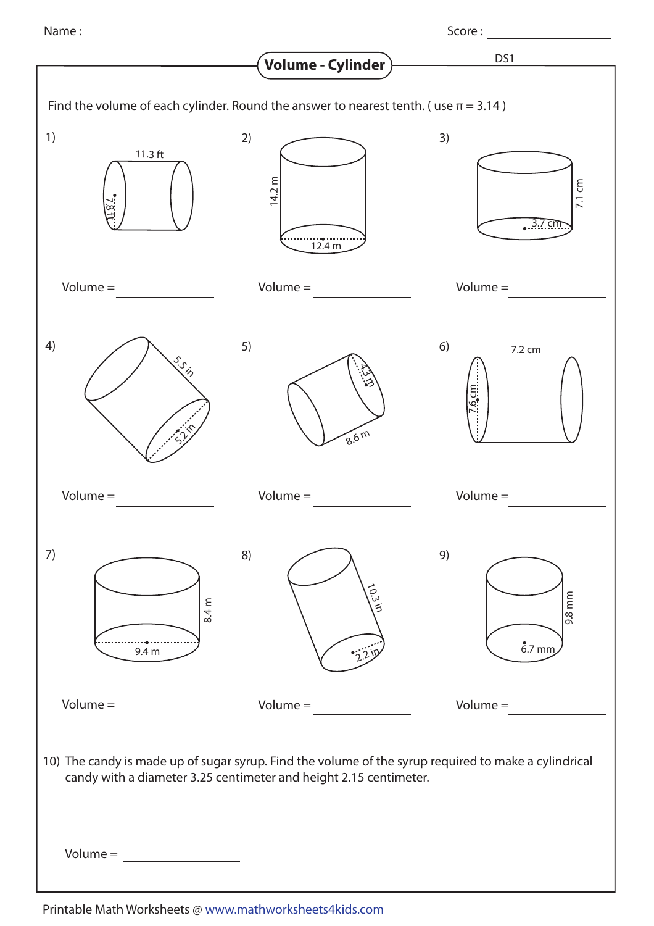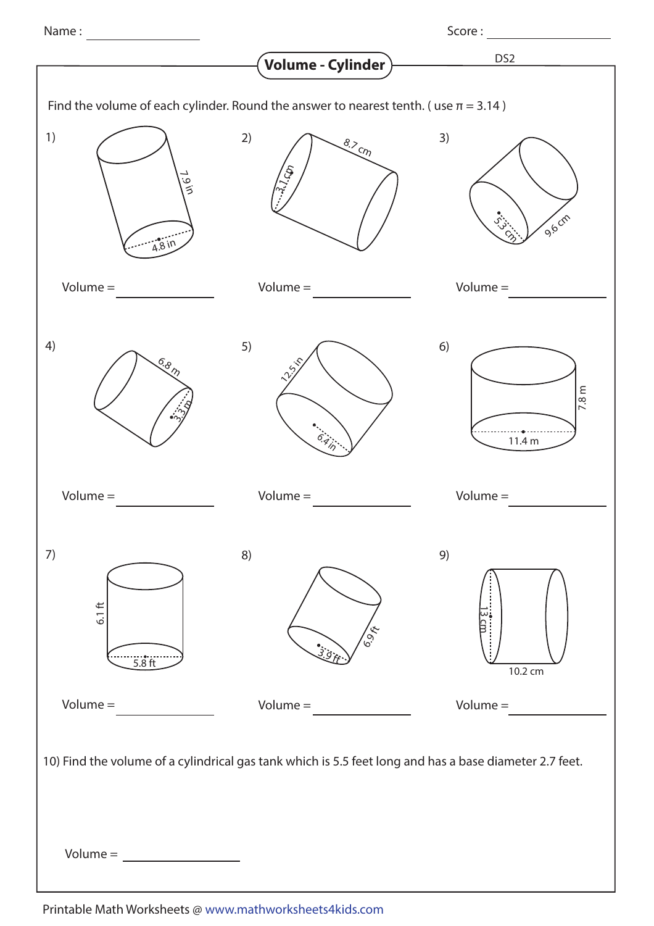Name : Score :

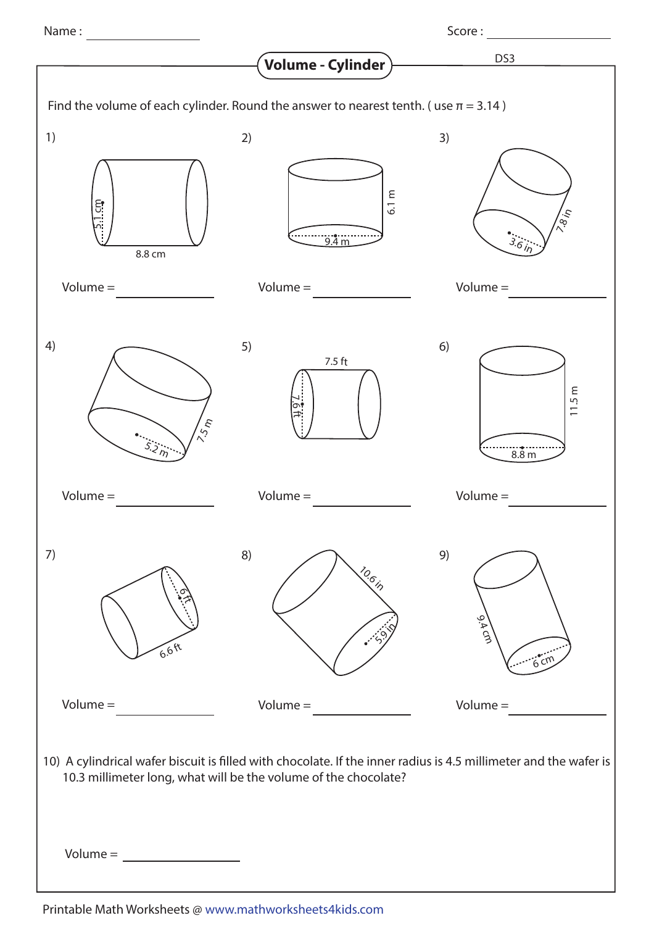| Name:                                                                                                                                                                               |                                                                                                                           | Score:                             |
|-------------------------------------------------------------------------------------------------------------------------------------------------------------------------------------|---------------------------------------------------------------------------------------------------------------------------|------------------------------------|
|                                                                                                                                                                                     | Volume - Cylinder                                                                                                         | DS3                                |
|                                                                                                                                                                                     |                                                                                                                           |                                    |
| Find the volume of each cylinder. Round the answer to nearest tenth. (use $\pi = 3.14$ )                                                                                            |                                                                                                                           |                                    |
| 1)                                                                                                                                                                                  | 2)                                                                                                                        | 3)                                 |
| $\frac{1}{2}$<br>8.8 cm                                                                                                                                                             | 6.1 m<br>9.4 m                                                                                                            | $\frac{4}{3}$<br>3.6 <sub>ir</sub> |
| $Volume =$                                                                                                                                                                          | $Volume =$                                                                                                                | $Volume =$                         |
| 4)<br>$5\%$<br>5.2 <sub>m</sub>                                                                                                                                                     | 5)<br>$7.5 \text{ ft}$<br><u>76ft</u>                                                                                     | 6)<br>11.5 m                       |
| $Volume =$                                                                                                                                                                          | $Volume =$                                                                                                                | $Volume =$                         |
| 7)<br>6.6ft                                                                                                                                                                         | 8)<br>$\bigwedge^{\hspace{-3pt}\prime\!} \hspace{3pt} \sigma_{\hspace{-3pt}/\hspace{3pt} \bar{\hspace{1pt}}\hspace{1pt}}$ | 9)<br>9.4 دس<br>6 <sup>cm</sup>    |
| $Volume =$                                                                                                                                                                          | $Volume =$                                                                                                                | $Volume =$                         |
| 10) A cylindrical wafer biscuit is filled with chocolate. If the inner radius is 4.5 millimeter and the wafer is<br>10.3 millimeter long, what will be the volume of the chocolate? |                                                                                                                           |                                    |
| $Volume =$                                                                                                                                                                          |                                                                                                                           |                                    |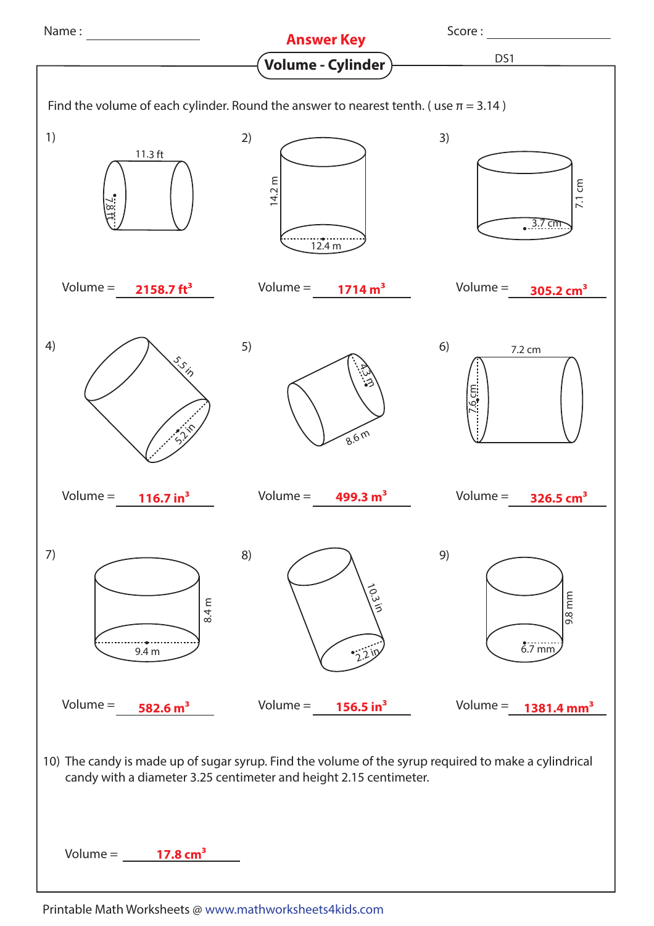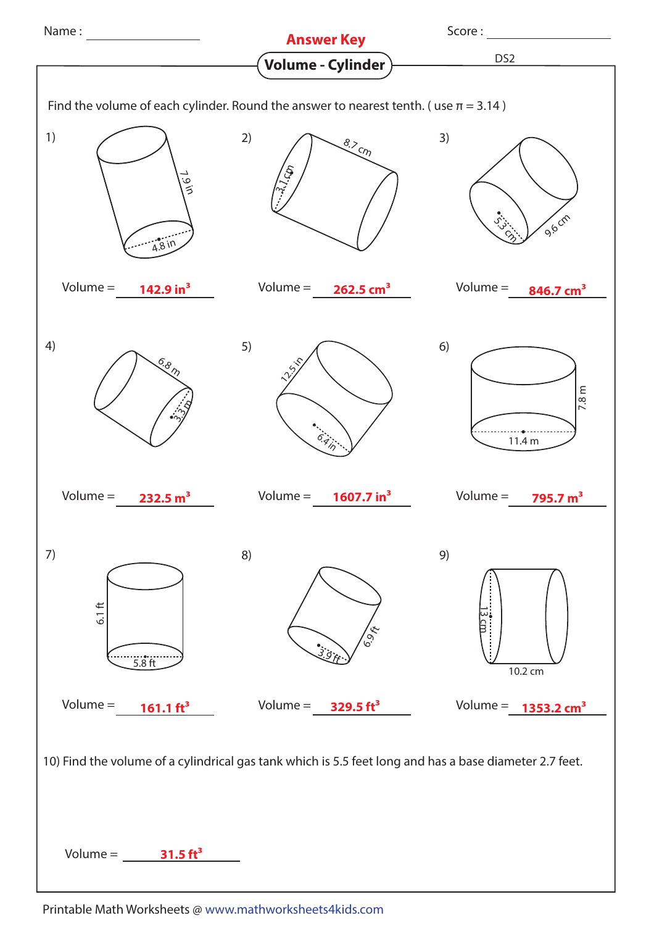

Printable Math Worksheets @ www.mathworksheets4kids.com